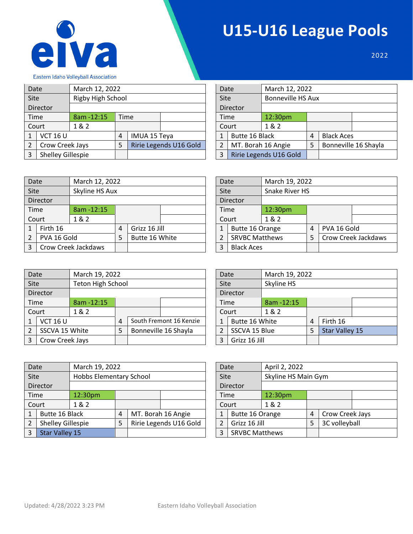

## **U15-U16 League Pools**

2022

Eastern Idaho Volleyball Association

| Date |                   | March 12, 2022    |      |                     |                        | Date |                    | March 12, 2022           |                           |                   |  |  |
|------|-------------------|-------------------|------|---------------------|------------------------|------|--------------------|--------------------------|---------------------------|-------------------|--|--|
| Site |                   | Rigby High School |      |                     |                        | Site |                    | <b>Bonneville HS Aux</b> |                           |                   |  |  |
|      | Director          |                   |      |                     |                        |      | Director           |                          |                           |                   |  |  |
|      | Time              | 8am - 12:15       | Time |                     |                        | Time |                    | 12:30 <sub>pm</sub>      |                           |                   |  |  |
|      | Court             | 1&2               |      |                     |                        |      | Court              | 1&2                      |                           |                   |  |  |
|      | <b>VCT 16 U</b>   |                   | 4    | <b>IMUA 15 Teya</b> |                        |      | Butte 16 Black     |                          | 4                         | <b>Black Aces</b> |  |  |
|      | Crow Creek Jays   |                   | 5    |                     | Ririe Legends U16 Gold | 2    | MT. Borah 16 Angie |                          | Bonneville 16 Shayla<br>5 |                   |  |  |
| 3    | Shelley Gillespie |                   |      |                     |                        | 3    |                    | Ririe Legends U16 Gold   |                           |                   |  |  |

| Date            |                        | March 12, 2022           |   |                   |                      |
|-----------------|------------------------|--------------------------|---|-------------------|----------------------|
| Site            |                        | <b>Bonneville HS Aux</b> |   |                   |                      |
|                 | Director               |                          |   |                   |                      |
| 12:30pm<br>Time |                        |                          |   |                   |                      |
|                 | Court                  | 1 & 2                    |   |                   |                      |
| $\mathbf{1}$    | Butte 16 Black         |                          | 4 | <b>Black Aces</b> |                      |
| $\overline{2}$  | MT. Borah 16 Angie     |                          | 5 |                   | Bonneville 16 Shayla |
| 3               | Ririe Legends U16 Gold |                          |   |                   |                      |

| Date           |             | March 12, 2022      |   |                |  | Date |                       | March 19, 2022 |   |             |                     |  |
|----------------|-------------|---------------------|---|----------------|--|------|-----------------------|----------------|---|-------------|---------------------|--|
| Site           |             | Skyline HS Aux      |   |                |  | Site |                       | Snake River HS |   |             |                     |  |
|                | Director    |                     |   |                |  |      | Director              |                |   |             |                     |  |
|                | Time        | 8am - 12:15         |   |                |  | Time |                       | 12:30pm        |   |             |                     |  |
|                | Court       | 1&2                 |   |                |  |      | Court                 | 1&2            |   |             |                     |  |
|                | Firth 16    |                     | 4 | Grizz 16 Jill  |  |      | Butte 16 Orange       |                | 4 | PVA 16 Gold |                     |  |
| $\overline{2}$ | PVA 16 Gold |                     | 5 | Butte 16 White |  |      | <b>SRVBC Matthews</b> |                |   |             | Crow Creek Jackdaws |  |
| 3              |             | Crow Creek Jackdaws |   |                |  | 3    | <b>Black Aces</b>     |                |   |             |                     |  |

| Date |                       |                       | March 19, 2022 |             |                     |  |  |  |  |  |
|------|-----------------------|-----------------------|----------------|-------------|---------------------|--|--|--|--|--|
| Site |                       | <b>Snake River HS</b> |                |             |                     |  |  |  |  |  |
|      | Director              |                       |                |             |                     |  |  |  |  |  |
| Time |                       | 12:30pm               |                |             |                     |  |  |  |  |  |
|      | Court                 | 1 & 2                 |                |             |                     |  |  |  |  |  |
| 1    | Butte 16 Orange       |                       | 4              | PVA 16 Gold |                     |  |  |  |  |  |
| 2    | <b>SRVBC Matthews</b> |                       | 5              |             | Crow Creek Jackdaws |  |  |  |  |  |
| ς    | <b>Black Aces</b>     |                       |                |             |                     |  |  |  |  |  |

| Date           |                 | March 19, 2022    |   |                         | Date |                | March 19, 2022 |  |                |  |
|----------------|-----------------|-------------------|---|-------------------------|------|----------------|----------------|--|----------------|--|
| Site           |                 | Teton High School |   |                         | Site |                | Skyline HS     |  |                |  |
|                | Director        |                   |   |                         |      | Director       |                |  |                |  |
|                | Time            | 8am - 12:15       |   |                         |      | Time           | 8am - 12:15    |  |                |  |
|                | Court           | 1 & 2             |   |                         |      | Court          | 1&2            |  |                |  |
|                | <b>VCT 16 U</b> |                   | 4 | South Fremont 16 Kenzie |      | Butte 16 White | 4              |  | Firth 16       |  |
| $\mathfrak{p}$ | SSCVA 15 White  |                   | 5 | Bonneville 16 Shayla    |      | SSCVA 15 Blue  | 5              |  | Star Valley 15 |  |
| 3              | Crow Creek Jays |                   |   |                         |      | Grizz 16 Jill  |                |  |                |  |

| Site |                | Skyline HS  |   |                       |  |  |  |  |  |  |
|------|----------------|-------------|---|-----------------------|--|--|--|--|--|--|
|      | Director       |             |   |                       |  |  |  |  |  |  |
| Time |                | 8am - 12:15 |   |                       |  |  |  |  |  |  |
|      | Court          | 1 & 2       |   |                       |  |  |  |  |  |  |
|      | Butte 16 White |             | 4 | Firth 16              |  |  |  |  |  |  |
|      | SSCVA 15 Blue  |             | 5 | <b>Star Valley 15</b> |  |  |  |  |  |  |
|      | Grizz 16 Jill  |             |   |                       |  |  |  |  |  |  |

Date March 19, 2022

| Date |                       | March 19, 2022          |   |                        | Date |                       | April 2, 2022       |                    |                 |  |  |  |
|------|-----------------------|-------------------------|---|------------------------|------|-----------------------|---------------------|--------------------|-----------------|--|--|--|
| Site |                       | Hobbs Elementary School |   |                        | Site |                       | Skyline HS Main Gym |                    |                 |  |  |  |
|      | Director              |                         |   |                        |      | Director              |                     |                    |                 |  |  |  |
|      | Time                  | 12:30pm                 |   |                        |      | Time                  | 12:30pm             |                    |                 |  |  |  |
|      | Court                 | 1&2                     |   |                        |      | Court                 | 1 & 2               |                    |                 |  |  |  |
|      | Butte 16 Black        |                         | 4 | MT. Borah 16 Angie     |      | Butte 16 Orange       |                     | 4                  | Crow Creek Jays |  |  |  |
|      | Shelley Gillespie     |                         | 5 | Ririe Legends U16 Gold |      | Grizz 16 Jill         |                     | 3C volleyball<br>5 |                 |  |  |  |
|      | <b>Star Valley 15</b> |                         |   |                        | 3    | <b>SRVBC Matthews</b> |                     |                    |                 |  |  |  |

| Date                       |                 | April 2, 2022 |                     |                 |  |  |  |  |  |  |  |
|----------------------------|-----------------|---------------|---------------------|-----------------|--|--|--|--|--|--|--|
| Site                       |                 |               | Skyline HS Main Gym |                 |  |  |  |  |  |  |  |
|                            | Director        |               |                     |                 |  |  |  |  |  |  |  |
| Time                       |                 | 12:30pm       |                     |                 |  |  |  |  |  |  |  |
|                            | Court           | 1 & 2         |                     |                 |  |  |  |  |  |  |  |
| $\mathbf{1}$               | Butte 16 Orange |               | 4                   | Crow Creek Jays |  |  |  |  |  |  |  |
| $\overline{2}$             | Grizz 16 Jill   |               | 5                   | 3C volleyball   |  |  |  |  |  |  |  |
| 3<br><b>SRVBC Matthews</b> |                 |               |                     |                 |  |  |  |  |  |  |  |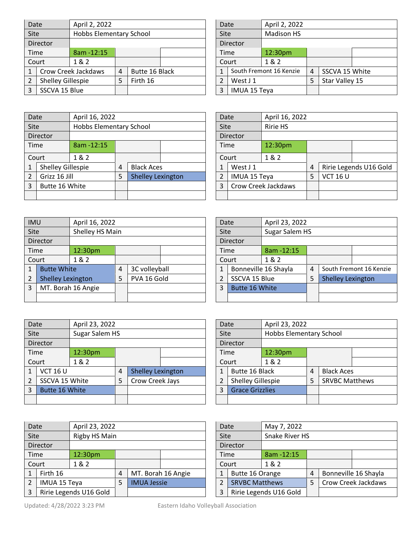| Date        |                   | April 2, 2022           |   |                |  | Date |                     | April 2, 2022           |                |                |  |  |  |
|-------------|-------------------|-------------------------|---|----------------|--|------|---------------------|-------------------------|----------------|----------------|--|--|--|
| <b>Site</b> |                   | Hobbs Elementary School |   |                |  | Site |                     | <b>Madison HS</b>       |                |                |  |  |  |
|             | Director          |                         |   |                |  |      | Director            |                         |                |                |  |  |  |
|             | Time              | $8am - 12:15$           |   |                |  |      | <b>Time</b>         | 12:30pm                 |                |                |  |  |  |
|             | Court             | 1& 2                    |   |                |  |      | Court               | 1&2                     |                |                |  |  |  |
|             |                   | Crow Creek Jackdaws     | 4 | Butte 16 Black |  |      |                     | South Fremont 16 Kenzie | $\overline{4}$ | SSCVA 15 White |  |  |  |
|             | Shelley Gillespie |                         | 5 | Firth 16       |  |      | West J 1            |                         | 5              | Star Valley 15 |  |  |  |
|             | SSCVA 15 Blue     |                         |   |                |  | 3    | <b>IMUA 15 Teya</b> |                         |                |                |  |  |  |

| Date                       |              | April 2, 2022           |   |                |  |
|----------------------------|--------------|-------------------------|---|----------------|--|
| Site                       |              | <b>Madison HS</b>       |   |                |  |
| Director                   |              |                         |   |                |  |
|                            | Time         | 12:30pm                 |   |                |  |
|                            | Court        | 1 & 2                   |   |                |  |
| 1                          |              | South Fremont 16 Kenzie | 4 | SSCVA 15 White |  |
| $\mathfrak{p}$<br>West J 1 |              |                         | 5 | Star Valley 15 |  |
| 3                          | IMUA 15 Teya |                         |   |                |  |

Date April 16, 2022

Time 12:30pm

3 Crow Creek Jackdaws

Ē

|             | Date              | April 16, 2022          |   |                          |  | Date           |                    | April 16        |
|-------------|-------------------|-------------------------|---|--------------------------|--|----------------|--------------------|-----------------|
| <b>Site</b> |                   | Hobbs Elementary School |   |                          |  | Site           |                    | <b>Ririe HS</b> |
|             | <b>Director</b>   |                         |   |                          |  |                | Director           |                 |
|             | Time              | 8am - 12:15             |   |                          |  | Time           |                    | 12:30pr         |
|             | Court             | 1&2                     |   |                          |  | Court          |                    | 1&2             |
|             | Shelley Gillespie |                         | 4 | <b>Black Aces</b>        |  | 1              | West J 1           |                 |
| 2           | Grizz 16 Jill     |                         | 5 | <b>Shelley Lexington</b> |  | $\overline{2}$ | IMUA 15 Teya       |                 |
| 3           | Butte 16 White    |                         |   |                          |  | 3              | Crow Creek Jackday |                 |
|             |                   |                         |   |                          |  |                |                    |                 |

| <b>IMU</b>  |                          | April 16, 2022     |   |               |  |  |                     | Date          | April 23, 2022       |   |                          |                         |  |
|-------------|--------------------------|--------------------|---|---------------|--|--|---------------------|---------------|----------------------|---|--------------------------|-------------------------|--|
| <b>Site</b> |                          | Shelley HS Main    |   |               |  |  | <b>Site</b>         |               | Sugar Salem HS       |   |                          |                         |  |
|             | Director                 |                    |   |               |  |  |                     | Director      |                      |   |                          |                         |  |
|             | Time                     | 12:30pm            |   |               |  |  |                     | Time          | $8am - 12:15$        |   |                          |                         |  |
|             | Court                    | 1 & 2              |   |               |  |  | 1 & 2<br>Court      |               |                      |   |                          |                         |  |
|             | <b>Butte White</b>       |                    | 4 | 3C volleyball |  |  | $\mathbf{1}$        |               | Bonneville 16 Shayla | 4 |                          | South Fremont 16 Kenzie |  |
| 2           | <b>Shelley Lexington</b> |                    | 5 | PVA 16 Gold   |  |  | $\overline{2}$      | SSCVA 15 Blue |                      | 5 | <b>Shelley Lexington</b> |                         |  |
| 3           |                          | MT. Borah 16 Angie |   |               |  |  | 3<br>Butte 16 White |               |                      |   |                          |                         |  |
|             |                          |                    |   |               |  |  |                     |               |                      |   |                          |                         |  |

|             | April 23, 2022<br>Date                 |         |       |                          |  | Date            |                       | April 23, 2022 |                         |                   |  |
|-------------|----------------------------------------|---------|-------|--------------------------|--|-----------------|-----------------------|----------------|-------------------------|-------------------|--|
| <b>Site</b> | Sugar Salem HS                         |         |       |                          |  | Site            |                       |                | Hobbs Elementary School |                   |  |
|             | Director                               |         |       |                          |  | Director        |                       |                |                         |                   |  |
|             | Time                                   | 12:30pm |       |                          |  | 12:30pm<br>Time |                       |                |                         |                   |  |
|             | Court                                  | 1 & 2   | Court |                          |  | 1 & 2           |                       |                |                         |                   |  |
|             | <b>VCT 16 U</b>                        |         | 4     | Shelley Lexington        |  | 1               | Butte 16 Black        |                | 4                       | <b>Black Aces</b> |  |
|             | Crow Creek Jays<br>SSCVA 15 White<br>5 |         | 2     | <b>Shelley Gillespie</b> |  | 5               | <b>SRVBC Matthews</b> |                |                         |                   |  |
| 3           | Butte 16 White                         |         | 3     | <b>Grace Grizzlies</b>   |  |                 |                       |                |                         |                   |  |
|             |                                        |         |       |                          |  |                 |                       |                |                         |                   |  |

| Date        |                     | April 23, 2022         |   |                    |                        |  | May 7, 2022<br>Date   |                        |             |   |  |                      |  |
|-------------|---------------------|------------------------|---|--------------------|------------------------|--|-----------------------|------------------------|-------------|---|--|----------------------|--|
| <b>Site</b> |                     | Rigby HS Main          |   |                    |                        |  |                       | Snake River HS<br>Site |             |   |  |                      |  |
|             | Director            |                        |   |                    |                        |  |                       | Director               |             |   |  |                      |  |
|             | Time                | 12:30pm                |   |                    |                        |  | Time                  |                        | 8am - 12:15 |   |  |                      |  |
|             | Court               | 1 & 2                  |   |                    |                        |  |                       | Court                  | 1&2         |   |  |                      |  |
|             | Firth 16            |                        | 4 |                    | MT. Borah 16 Angie     |  |                       | Butte 16 Orange        |             | 4 |  | Bonneville 16 Shayla |  |
| 2           | <b>IMUA 15 Teya</b> |                        |   | <b>IMUA Jessie</b> |                        |  | <b>SRVBC Matthews</b> |                        |             |   |  | Crow Creek Jackdaws  |  |
| 3           |                     | Ririe Legends U16 Gold |   |                    | Ririe Legends U16 Gold |  |                       |                        |             |   |  |                      |  |

| Date         |                       | May 7, 2022            |                       |  |                      |  |  |  |
|--------------|-----------------------|------------------------|-----------------------|--|----------------------|--|--|--|
| Site         |                       |                        | <b>Snake River HS</b> |  |                      |  |  |  |
|              | Director              |                        |                       |  |                      |  |  |  |
| Time         |                       | 8am - 12:15            |                       |  |                      |  |  |  |
|              | Court                 | 1&2                    |                       |  |                      |  |  |  |
| $\mathbf{1}$ | Butte 16 Orange       |                        | 4                     |  | Bonneville 16 Shayla |  |  |  |
| 2            | <b>SRVBC Matthews</b> |                        | 5                     |  | Crow Creek Jackdaws  |  |  |  |
| 3            |                       | Ririe Legends U16 Gold |                       |  |                      |  |  |  |

| Date                |               | April 23, 2022       |   |                          |                         |  |  |  |  |
|---------------------|---------------|----------------------|---|--------------------------|-------------------------|--|--|--|--|
| Site                |               | Sugar Salem HS       |   |                          |                         |  |  |  |  |
|                     | Director      |                      |   |                          |                         |  |  |  |  |
| Time                |               | 8am - 12:15          |   |                          |                         |  |  |  |  |
|                     | Court         | 1&2                  |   |                          |                         |  |  |  |  |
| $\mathbf{1}$        |               | Bonneville 16 Shayla | 4 |                          | South Fremont 16 Kenzie |  |  |  |  |
| $\mathcal{P}$       | SSCVA 15 Blue |                      | 5 | <b>Shelley Lexington</b> |                         |  |  |  |  |
| Butte 16 White<br>3 |               |                      |   |                          |                         |  |  |  |  |
|                     |               |                      |   |                          |                         |  |  |  |  |

1 | West J 1 | 4 | Ririe Legends U16 Gold

2 IMUA 15 Teya  $5$  VCT 16 U

| Date           |                          | April 23, 2022                 |   |                       |  |  |  |  |  |
|----------------|--------------------------|--------------------------------|---|-----------------------|--|--|--|--|--|
| Site           |                          | <b>Hobbs Elementary School</b> |   |                       |  |  |  |  |  |
|                | Director                 |                                |   |                       |  |  |  |  |  |
| Time           |                          | 12:30pm                        |   |                       |  |  |  |  |  |
|                | Court                    | 1 & 2                          |   |                       |  |  |  |  |  |
| 1              | Butte 16 Black           |                                |   | <b>Black Aces</b>     |  |  |  |  |  |
| $\overline{2}$ | <b>Shelley Gillespie</b> |                                | 5 | <b>SRVBC Matthews</b> |  |  |  |  |  |
| 3              | <b>Grace Grizzlies</b>   |                                |   |                       |  |  |  |  |  |
|                |                          |                                |   |                       |  |  |  |  |  |